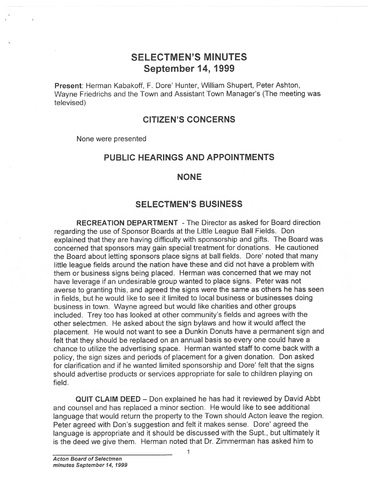# SELECTMEN'S MINUTES September 14, <sup>1999</sup>

Present: Herman Kabakoff, F. Dore' Hunter, William Shupert, Peter Ashton, Wayne Friedrichs and the Town and Assistant Town Manager's (The meeting was televised)

## CITIZEN'S CONCERNS

None were presented

## PUBLIC HEARINGS AND APPOINTMENTS

### NONE

## SELECTMEN'S BUSINESS

RECREATION DEPARTMENT -The Director as asked for Board direction regarding the use of Sponsor Boards at the Little League Ball Fields. Don explained that they are having difficulty with sponsorship and <sup>g</sup>ifts. The Board was concerned that sponsors may gain special treatment for donations. He cautioned the Board about letting sponsors <sup>p</sup>lace signs at ball fields. Dore' noted that many little league fields around the nation have these and did not have <sup>a</sup> problem with them or business signs being <sup>p</sup>laced. Herman was concerned that we may not have leverage if an undesirable group wanted to <sup>p</sup>lace signs. Peter was not averse to granting this, and agreed the signs were the same as others he has seen in fields, but he would like to see it limited to local business or businesses doing business in town. Wayne agreed but would like charities and other groups included. Trey too has looked at other community's fields and agrees with the other selectmen. He asked about the sign bylaws and how it would affect the <sup>p</sup>lacement. He would not want to see <sup>a</sup> Dunkin Donuts have <sup>a</sup> permanen<sup>t</sup> sign and felt that they should be replaced on an annual basis so every one could have <sup>a</sup> chance to utilize the advertising space. Herman wanted staff to come back with <sup>a</sup> policy, the sign sizes and periods of <sup>p</sup>lacement for <sup>a</sup> <sup>g</sup>iven donation. Don asked for clarification and if he wanted limited sponsorship and Dore' felt that the signs should advertise products or services appropriate for sale to children playing on field.

QUIT CLAIM DEED — Don explained he has had it reviewed by David Abbt and counsel and has replaced <sup>a</sup> minor section. He would like to see additional language that would return the property to the Town should Acton leave the region. Peter agreed with Don's suggestion and felt it makes sense. Dore' agreed the language is appropriate and it should be discussed with the Supt., but ultimately it is the deed we give them. Herman noted that Dr. Zimmerman has asked him to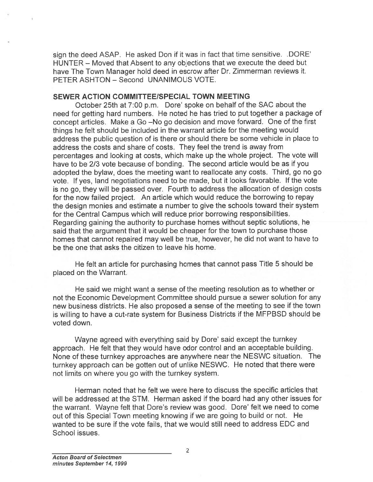sign the deed ASAP. He asked Don if it was in fact that time sensitive. .DORE' HUNTER — Moved that Absent to any objections that we execute the deed but have The Town Manager hold deed in escrow after Dr. Zimmerman reviews it. PETER ASHTON — Second UNANIMOUS VOTE.

### SEWER ACTION COMMITTEE/SPECIAL TOWN MEETING

October 25th at 7:00 p.m. Dore' spoke on behalf of the SAC about the need for getting hard numbers. He noted he has tried to pu<sup>t</sup> together <sup>a</sup> package of concep<sup>t</sup> articles. Make <sup>a</sup> Go —No go decision and move forward. One of the first things he felt should be included in the warrant article for the meeting would address the public question of is there or should there be some vehicle in <sup>p</sup>lace to address the costs and share of costs. They feel the trend is away from percentages and looking at costs, which make up the whole project. The vote will have to be 2/3 vote because of bonding. The second article would be as if you adopted the bylaw, does the meeting want to reallocate any costs. Third, go no go vote. If yes, land negotiations need to be made, but it looks favorable. If the vote is no go, they will be passe<sup>d</sup> over. Fourth to address the allocation of design costs for the now failed project. An article which would reduce the borrowing to repay the design monies and estimate <sup>a</sup> number to give the schools toward their system for the Central Campus which will reduce prior borrowing responsibilities. Regarding gaining the authority to purchase homes without septic solutions, he said that the argumen<sup>t</sup> that it would be cheaper for the town to purchase those homes that cannot repaired may well be true, however, he did not want to have to be the one that asks the citizen to leave his home.

He felt an article for purchasing homes that cannot pass Title 5 should be placed on the Warrant.

He said we might want <sup>a</sup> sense of the meeting resolution as to whether or not the Economic Development Committee should pursue <sup>a</sup> sewer solution for any new business districts. He also proposed <sup>a</sup> sense of the meeting to see if the town is willing to have <sup>a</sup> cut-rate system for Business Districts if the MFPBSD should be voted down.

Wayne agreed with everything said by Dore' said excep<sup>t</sup> the turnkey approach. He felt that they would have odor control and an acceptable building. None of these turnkey approaches are anywhere near the NESWC situation. The turnkey approac<sup>h</sup> can be gotten out of unlike NESWC. He noted that there were not limits on where you go with the turnkey system.

Herman noted that he felt we were here to discuss the specific articles that will be addressed at the STM. Herman asked if the board had any other issues for the warrant. Wayne felt that Dore's review was good. Dore' felt we need to come out of this Special Town meeting knowing if we are going to build or not. He wanted to be sure if the vote fails, that we would still need to address EDC and School issues.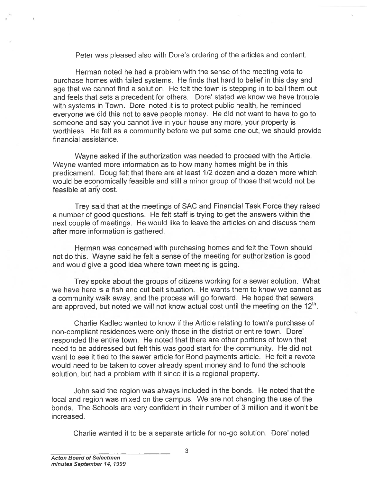Peter was pleased also with Dore's ordering of the articles and content.

Herman noted he had <sup>a</sup> problem with the sense of the meeting vote to purchase homes with failed systems. He finds that hard to belief in this day and age that we cannot find <sup>a</sup> solution. He felt the town is stepping in to bail them out and feels that sets <sup>a</sup> precedent for others. Dore' stated we know we have trouble with systems in Town. Dore' noted it is to protect public health, he reminded everyone we did this not to save people money. He did not want to have to go to someone and say you cannot live in your house any more, your property is worthless. He felt as <sup>a</sup> community before we pu<sup>t</sup> some one out, we should provide financial assistance.

Wayne asked if the authorization was needed to proceed with the Article. Wayne wanted more information as to how many homes might be in this predicament. Doug felt that there are at least 1/2 dozen and <sup>a</sup> dozen more which would be economically feasible and still <sup>a</sup> minor group of those that would not be feasible at any cost.

Trey said that at the meetings of SAC and Financial Task Force they raised <sup>a</sup> number of good questions. He felt staff is trying to ge<sup>t</sup> the answers within the next couple of meetings. He would like to leave the articles on and discuss them after more information is gathered.

Herman was concerned with purchasing homes and felt the Town should not do this. Wayne said he felt <sup>a</sup> sense of the meeting for authorization is good and would give <sup>a</sup> good idea where town meeting is going.

Trey spoke about the groups of citizens working for <sup>a</sup> sewer solution. What we have here is <sup>a</sup> fish and cut bait situation. He wants them to know we cannot as <sup>a</sup> community walk away, and the process will go forward. He hoped that sewers are approved, but noted we will not know actual cost until the meeting on the  $12<sup>th</sup>$ .

Charlie Kadlec wanted to know if the Article relating to town's purchase of non-compliant residences were only those in the district or entire town. Dore' responded the entire town. He noted that there are other portions of town that need to be addressed but felt this was good start for the community. He did not want to see it tied to the sewer article for Bond payments article. He felt <sup>a</sup> revote would need to be taken to cover already spen<sup>t</sup> money and to fund the schools solution, but had <sup>a</sup> problem with it since it is <sup>a</sup> regional property.

John said the region was always included in the bonds. He noted that the local and region was mixed on the campus. We are not changing the use of the bonds. The Schools are very confident in their number of 3 million and it won't be increased.

Charlie wanted it to be a separate article for no-go solution. Dore' noted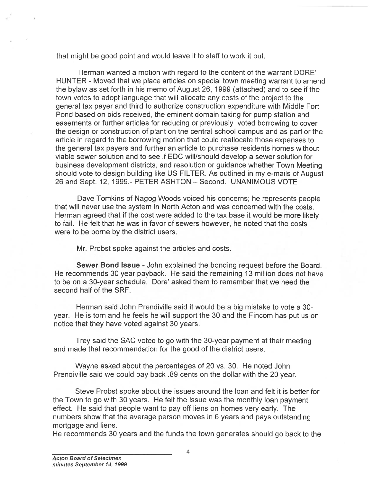that might be good point and would leave it to staff to work it out.

Herman wanted <sup>a</sup> motion with regard to the content of the warrant DORE' HUNTER - Moved that we place articles on special town meeting warrant to amend the bylaw as set forth in his memo of August 26, 1999 (attached) and to see if the town votes to adopt language that will allocate any costs of the project to the general tax payer and third to authorize construction expenditure with Middle Fort Pond based on bids received, the eminent domain taking for pump station and easements or further articles for reducing or previously voted borrowing to cover the design or construction of plant on the central school campus and as part or the article in regard to the borrowing motion that could reallocate those expenses to the general tax payers and further an article to purchase residents homes without viable sewer solution and to see if EDC will/should develop <sup>a</sup> sewer solution for business development districts, and resolution or guidance whether Town Meeting should vote to design building like US FILTER. As outlined in my e-mails of August 26 and Sept. 12, 1999.- PETER ASHTON — Second. UNANIMOUS VOTE

Dave Tomkins of Nagog Woods voiced his concerns; he represents people that will never use the system in North Acton and was concerned with the costs. Herman agreed that if the cost were added to the tax base it would be more likely to fail. He felt that he was in favor of sewers however, he noted that the costs were to be borne by the district users.

Mr. Probst spoke against the articles and costs.

Sewer Bond Issue - John explained the bonding request before the Board. He recommends 30 year payback. He said the remaining 13 million does not have to be on <sup>a</sup> 30-year schedule. Dore' asked them to remember that we need the second half of the SRF.

Herman said John Prendiville said it would be <sup>a</sup> big mistake to vote <sup>a</sup> 30 year. He is torn and he feels he will suppor<sup>t</sup> the 30 and the Fincom has pu<sup>t</sup> us on notice that they have voted against 30 years.

Trey said the SAC voted to go with the 30-year paymen<sup>t</sup> at their meeting and made that recommendation for the good of the district users.

Wayne asked about the percentages of 20 vs. 30. He noted John Prendiville said we could pay back .89 cents on the dollar with the 20 year.

Steve Probst spoke about the issues around the loan and felt it is better for the Town to go with 30 years. He felt the issue was the monthly loan paymen<sup>t</sup> effect. He said that people want to pay off liens on homes very early. The numbers show that the average person moves in 6 years and pays outstanding mortgage and liens.

He recommends 30 years and the funds the town generates should go back to the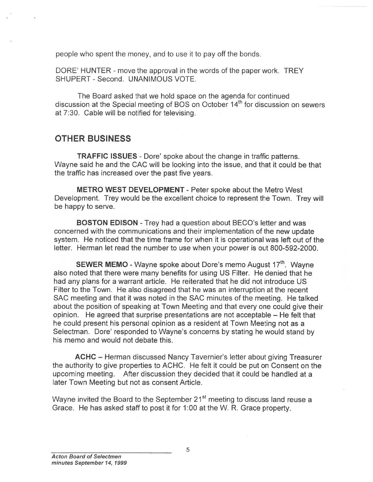people who spen<sup>t</sup> the money, and to use it to pay off the bonds.

DORE' HUNTER - move the approval in the words of the paper work. TREY SHUPERT - Second. UNANIMOUS VOTE.

The Board asked that we hold space on the agenda for continued discussion at the Special meeting of BOS on October 14<sup>th</sup> for discussion on sewers at 7:30. Cable will be notified for televising.

# OTHER BUSINESS

TRAFFIC ISSUES - Dore' spoke about the change in traffic patterns. Wayne said he and the CAC will be looking into the issue, and that it could be that the traffic has increased over the pas<sup>t</sup> five years.

METRO WEST DEVELOPMENT - Peter spoke about the Metro West Development. Trey would be the excellent choice to represen<sup>t</sup> the Town. Trey will be happy to serve.

BOSTON EDISON -Trey had <sup>a</sup> question about BECO's letter and was concerned with the communications and their implementation of the new update system. He noticed that the time frame for when it is operational was left out of the letter. Herman let read the number to use when your power is out 800-592-2000.

**SEWER MEMO** - Wayne spoke about Dore's memo August 17<sup>th</sup>. Wayne also noted that there were many benefits for using US Filter. He denied that he had any plans for <sup>a</sup> warrant article. He reiterated that he did not introduce US Filter to the Town. He also disagreed that he was an interruption at the recent SAC meeting and that it was noted in the SAC minutes of the meeting. He talked about the position of speaking at Town Meeting and that every one could give their opinion. He agreed that surprise presentations are not acceptable — He felt that he could presen<sup>t</sup> his personal opinion as <sup>a</sup> resident at Town Meeting not as <sup>a</sup> Selectman. Dore' responded to Wayne's concerns by stating he would stand by his memo and would not debate this.

ACHC — Herman discussed Nancy Tavernier's letter about <sup>g</sup>iving Treasurer the authority to give properties to ACHC. He felt it could be pu<sup>t</sup> on Consent on the upcoming meeting. After discussion they decided that it could be handled at <sup>a</sup> later Town Meeting but not as consent Article.

Wayne invited the Board to the September 21<sup>st</sup> meeting to discuss land reuse a Grace. He has asked staff to pos<sup>t</sup> it for 1:00 at the W. R. Grace property.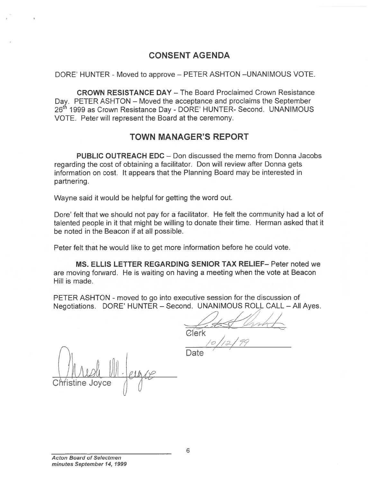## CONSENT AGENDA

### DORE' HUNTER - Moved to approve – PETER ASHTON –UNANIMOUS VOTE.

CROWN RESISTANCE DAY — The Board Proclaimed Crown Resistance Day. PETER ASHTON – Moved the acceptance and proclaims the September 26<sup>th</sup> 1999 as Crown Resistance Day - DORE' HUNTER- Second. UNANIMOUS VOTE. Peter will represen<sup>t</sup> the Board at the ceremony.

## TOWN MANAGER'S REPORT

PUBLIC OUTREACH EDC — Don discussed the memo from Donna Jacobs regarding the cost of obtaining <sup>a</sup> facilitator. Don will review after Donna gets information on cost. It appears that the Planning Board may be interested in partnering.

Wayne said it would be helpful for getting the word out.

Dore' felt that we should not pay for <sup>a</sup> facilitator. He felt the community had <sup>a</sup> lot of talented people in it that might be willing to donate their time. Herman asked that it be noted in the Beacon if at all possible.

Peter felt that he would like to ge<sup>t</sup> more information before he could vote.

MS. ELLIS LETTER REGARDING SENIOR TAX RELIEF— Peter noted we are moving forward. He is waiting on having <sup>a</sup> meeting when the vote at Beacon Hill is made.

PETER ASHTON - moved to go into executive session for the discussion of Negotiations. DORE' HUNTER — Second. UNANIMOUS ROLL CALL — All Ayes.

Clerk

Christine Joyce  $\quad$  /|  $Mush$   $M.g.$   $\frac{10/12/79}{\sqrt{3}}$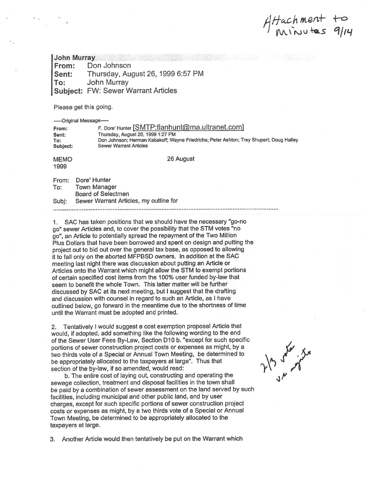$4Hachment to$ '1

John Murray From: Don Johnson Sent: Thursday, August 26, 1999 6:57 PM To: John Murray Subject: FW: Sewer Warrant Articles

Please ge<sup>t</sup> this going.

—Original Message— From: F. Dore' Hunter [SMTP:flanhunt@ma.ultranet.com] Sent: Thursday, August 26, 1999 1:27 PM To: Don Johnson; Herman Kabakoff; Wayne Friedrichs; Peter Ashton; Trey Shupert; Doug Halley Subject: Sewer Warrant Articles MEMO 26 August 1999 From: Dore' Hunter To: Town Manager Board of Selectmen Subj: Sewer Warrant Articles, my outline for 

1. SAC has taken positions that we should have the necessary "go-no go" sewer Articles and, to cover the possibility that the STM votes "no go", an Article to potentially sprea<sup>d</sup> the repaymen<sup>t</sup> of the Two Million Plus Dollars that have been borrowed and spen<sup>t</sup> on design and putting the project out to bid out over the genera<sup>l</sup> tax base, as oppose<sup>d</sup> to allowing it to fall only on the aborted MFPBSD owners. In addition at the SAC meeting last night there was discussion about putting an Article or Articles onto the Warrant which might allow the STM to exemp<sup>t</sup> portions of certain specified cost items from the 100% user funded by-law that seem to benefit the whole Town. This latter matter will be further discussed by SAC at its next meeting, but <sup>I</sup> sugges<sup>t</sup> that the drafting and discussion with counsel in regard to such an Article, as <sup>I</sup> have outlined below, go forward in the meantime due to the shortness of time until the Warrant must be adopted and printed.

2. Tentatively <sup>I</sup> would sugges<sup>t</sup> <sup>a</sup> cost exemption proposa<sup>l</sup> Article that would, if adopted, add something like the following wording to the end of the Sewer User Fees By-Law, Section D10 b. "except for such specific portions of sewer construction project costs or expenses as might, by <sup>a</sup> two thirds vote of <sup>a</sup> Special or Annual Town Meeting, be determined to be appropriately allocated to the taxpayers at large". Thus that section of the by-law, if so amended, would read:

b. The entire cost of laying out, constructing and operating the sewage collection, treatment and disposal facilities in the town shall be paid by <sup>a</sup> combination of sewer assessment on the land served by such facilities, including municipal and other public land, and by user charges, excep<sup>t</sup> for such specific portions of sewer construction project costs or expenses as might, by <sup>a</sup> two thirds vote of <sup>a</sup> Special or Annual Town Meeting, be determined to be appropriately allocated to the taxpayers at large.

3. Another Article would then tentatively be pu<sup>t</sup> on the Warrant which

213 or when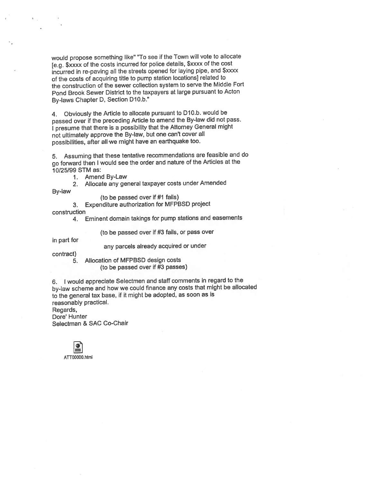would propose something like" "To see if the Town will vote to allocate [e.g. \$xxxx of the costs incurred for police details, \$xxxx of the cost incurred in re-paving all the streets opene<sup>d</sup> for laying <sup>p</sup>ipe, and \$xxxx of the costs of acquiring title to pump station locations] related to the construction of the sewer collection system to serve the Middle Fort Pond Brook Sewer District to the taxpayers at large pursuan<sup>t</sup> to Acton By-laws Chapter D, Section D10.b."

4. Obviously the Article to allocate pursuan<sup>t</sup> to D10.b. would be passe<sup>d</sup> over if the preceding Article to amend the By-law did not pass. <sup>I</sup> presume that there is <sup>a</sup> possibility that the Attorney General might not ultimately approve the By-law, but one can't cover all possibilities, after all we might have an earthquake too.

5. Assuming that these tentative recommendations are feasible and do go forward then <sup>I</sup> would see the order and nature of the Articles at the 10/25/99 STM as:

- 1. Amend By-Law
- 2. Allocate any genera<sup>l</sup> taxpayer costs under Amended

By-law

(to be passed over if #1 fails)

3. Expenditure authorization for MFPBSD project

construction

4. Eminent domain takings for pump stations and easements

(to be passed over if #3 fails, or pass over

in par<sup>t</sup> for

any parcels already acquired or under

contract)

5. Allocation of MFPBSD design costs

(to be passe<sup>d</sup> over if #3 passes)

6. <sup>I</sup> would appreciate Selectmen and staff comments in regar<sup>d</sup> to the by-law scheme and how we could finance any costs that might be allocated to the genera<sup>l</sup> tax base, if it might be adopted, as soon as is reasonably practical.

Regards, Dore' Hunter Selectman & SAC Co-Chair

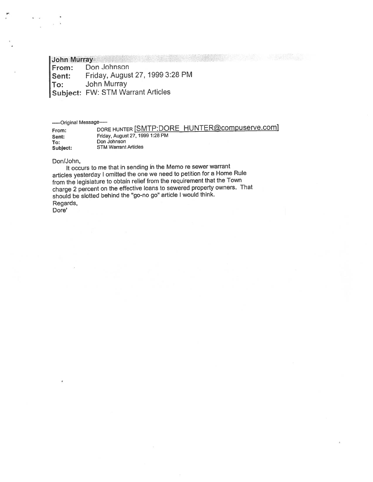# John Murray<br>From: Do

Don Johnson Sent: Friday, August 27, <sup>1999</sup> 3:28 PM To: John Murray Subject: FW: STM Warrant Articles

-—--Original Message—

| From:    | DORE HUNTER SMTP:DORE HUNTER@compuserve.com |
|----------|---------------------------------------------|
| Sent:    | Friday, August 27, 1999 1:28 PM             |
| To:      | Don Johnson                                 |
| Subject: | <b>STM Warrant Articles</b>                 |

#### Don/John,

It occurs to me that in sending in the Memo re sewer warrant articles yesterday <sup>I</sup> omitted the one we need to petition for <sup>a</sup> Home Rule from the legislature to obtain relief from the requirement that the Town charge <sup>2</sup> percen<sup>t</sup> on the effective loans to sewered property owners. That should be slotted behind the "go-no go" article <sup>I</sup> would think. Regards, Dore'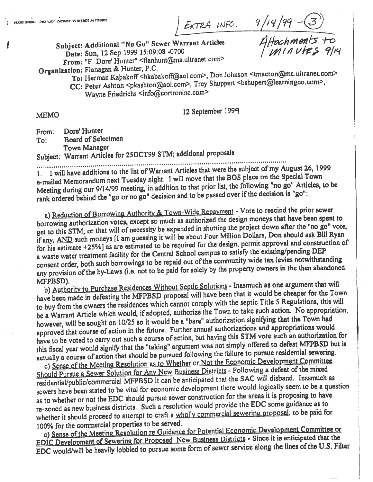auIt,onai <sup>x</sup>',c, Jo,. cwer warmnt ,4mcc5 '®

Subject: Additional "No Go" Sewer Warrant Articles Date: Sun, <sup>12</sup> Sep <sup>1999</sup> 15:09:08 -0700

 $\int$ *minutes* 9/14

From: "F, Dote' Hunter" <flanhunt@ma.ultranet.com>

Organization: Flanagan & Hunter, P.C.

To: Herman Kabakoff <hkabakoff@aol.com>, Don Johnson <tmacton@ma.ultranet.com> CC: Peter Ashton <pkashton@aol.com>, Trey Shuppert <br/>bshupert@learningco.com>,

Wayne Friedrichs <info@cortroninc.com>

MEMO 12 September 1999

f

| From: | Dore' Hunter              |
|-------|---------------------------|
| Tor:  | <b>Board of Selectmen</b> |
|       | Town Manager              |
|       |                           |

Town Manager Subject: Warrant Articles for 25OCT99 STM; additional proposals

1. I will have additions to the list of Warrant Articles that were the subject of my August 26, 1999 e-mailed Memorandum next Tuesday night. I will move that the BOS place on the Special Town Meeting during our 9/14/99 meeting, in addition to that prior list, the following "no go" Articles, to be rank ordered behind the "go or no go" decision and to be passed over if the decision is "go":

a) Reduction of Borrowing Authority & Town-Wide Repayment - Vote to rescind the prior sewer borrowing authorization votes, excep<sup>t</sup> so much as authorized the design moneys that have been spen<sup>t</sup> to get to this STM, or that will of necessity be expended in shutting the project down after the "no go" vote, if any, AND such moneys [I am guessing it will be about Four Million Dollars, Don should ask Bill Ryan for his estimate +25%] as are estimated to be required for the design, permit approva<sup>l</sup> and construction of a waste water treatment facility for the Central School campus to satisfy the existing/pending DEP consent order, both such borrowings to be repaid out of the community wide tax levies notwithstanding any provision of the by-Laws (i.e. not to be paid for solely by the property owners in the then abandoned MFPBSD).

b) Authority to Purchase Residences Without Septic Solutions - Inasmuch as one argument that will have been made in defeating the MFPBSD proposal will have been that it would be cheaper for the Town to buy from the owners the residences which cannot comply with the septic Title <sup>5</sup> Regulations, this will be a Warrant Article which would, if adopted, authorize the Town to take such action. No appropriation, however, will be sought on 10/25 so it would be a "bare" authorization signifying that the Town had approve<sup>d</sup> that course of action in the future. Further annual authorizations and appropriations would have to be voted to carry out such a course of action, but having this STM vote such an authorization for this fiscal year would signify that the "taking" argumen<sup>t</sup> was not simply offered to defeat MPPBSD but is In a strain year world signify that the statute of the metallic statute to pursue residential sewering.

c) Sense of the Meeting Resolution as to Whether or Not the Economic Development Committee Should Pursue a Sewer Solution for Any New Business Districts - Following a defeat of the mixed<br>Should Pursue a Sewer Solution for Any New Business Districts - Following a defeat of the mixed residential/public/commercial MFPBSD it can be anticipated that the SAC will disband. Inasmuch as sewers have been stated to be vital for economic development there would logically seem to be a question as to whether or not the EDC should pursue sewer construction for the areas it is proposing to have re-zoned as new business districts, Such <sup>a</sup> resolution would provide the EDC some guidance as to whether it should proceed to attempt to craft a wholly commercial sewering proposal, to be paid for 100% for the commercial properties to be served.

c) Sense of the Meeting Resolution re Guidance for Potential Economic Development Committee or EDIC Development of Sewering for Proposed New Business Districts - Since it is anticipated that the EDC would/will be heavily lobbied to pursue some form of sewer service along the lines of the U.S. Filter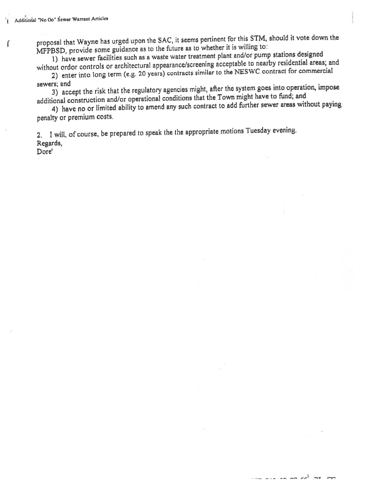$\mathbf{r}$ 

proposa<sup>l</sup> that Wayne has urge<sup>d</sup> upon the SAC, it seems pertinent for this STM, should it vote down the MFPBSD, provide some guidance as to the future as to whether it is willing to:

1) have sewer facilities such as a waste water treatment plant and/or pump stations designed without ordor controls or architectural appearance/screening acceptable to nearby residential areas; and

2) enter into long term (e.g. 20 years) contracts similar to the NESWC contract for commercial sewers; and

3) accep<sup>t</sup> the risk that the regulatory agencies might, after the system goes into operation, impose additional construction and/or operational conditions that the Town might have to fund; and

4) have no or limited ability to amend any such contract to add further sewer areas without paying penalty or premium costs.

2. <sup>1</sup> will, of course, be prepare<sup>d</sup> to speak the the appropriate motions Tuesday evening. Regards,

Dore'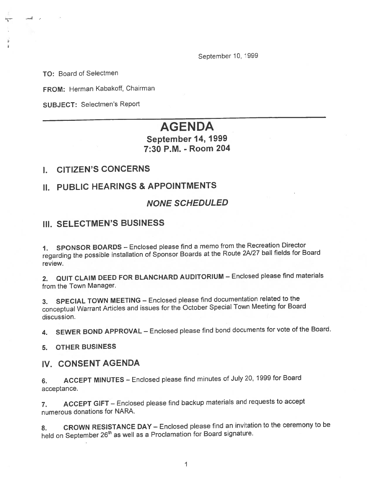September 10, <sup>1999</sup>

TO: Board of Selectmen

ر - السب

Þ

FROM: Herman Kabakoff, Chairman

SUBJECT: Selectmen's Report

# AGENDA

# September 14, 1999 7:30 P.M. - Room 204

### I. CITIZEN'S CONCERNS

# II. PUBLIC HEARINGS & APPOINTMENTS

### NONE SCHEDULED

## III. SELECTMEN'S BUSJNESS

1. SPONSOR BOARDS — Enclosed <sup>p</sup>lease find <sup>a</sup> memo from the Recreation Director regarding the possible installation of Sponsor Boards at the Route 2N27 ball fields for Board review.

2. QUIT CLAIM DEED FOR BLANCHARD AUDITORIUM — Enclosed <sup>p</sup>lease find materials from the Town Manager.

3. SPECIAL TOWN MEETING — Enclosed <sup>p</sup>lease find documentation related to the conceptual Warrant Articles and issues for the October Special Town Meeting for Board discussion.

4. SEWER BOND APPROVAL — Enclosed <sup>p</sup>lease find bond documents for vote of the Board.

5. OTHER BUSINESS

### IV. CONSENT AGENDA

6. ACCEPT MINUTES — Enclosed <sup>p</sup>lease find minutes of July 20, <sup>1999</sup> for Board acceptance.

7. ACCEPT GIFT — Enclosed <sup>p</sup>lease find backup materials and requests to accep<sup>t</sup> numerous donations for NARA.

8. CROWN RESISTANCE DAY — Enclosed <sup>p</sup>lease find an invitation to the ceremony to be held on September 26<sup>th</sup> as well as a Proclamation for Board signature.